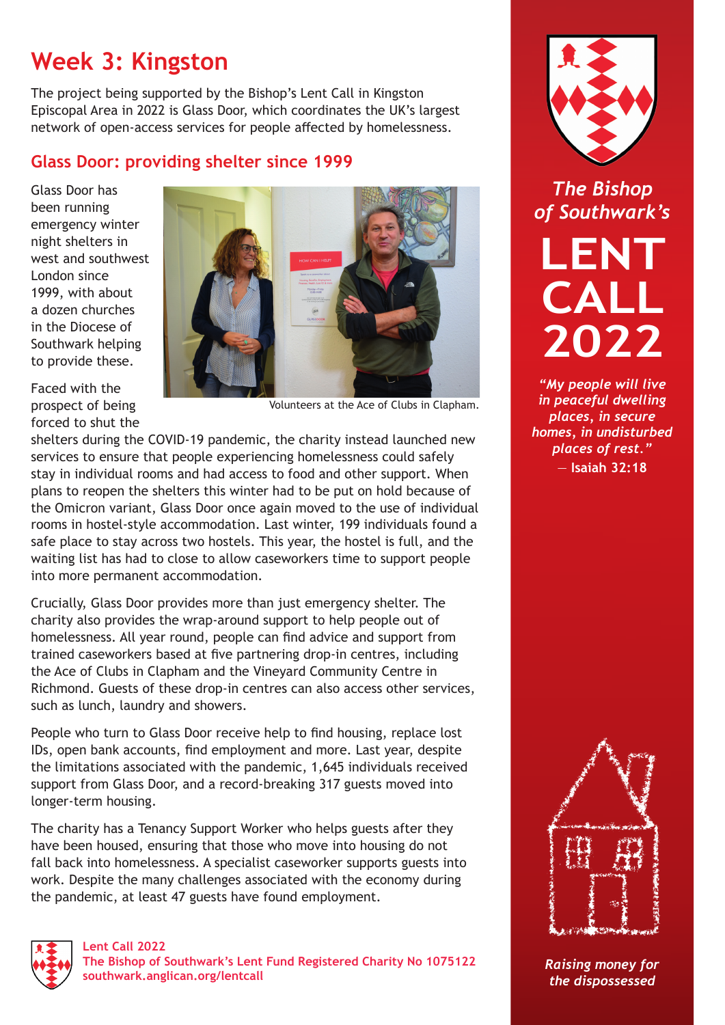## **Week 3: Kingston**

The project being supported by the Bishop's Lent Call in Kingston Episcopal Area in 2022 is Glass Door, which coordinates the UK's largest network of open-access services for people affected by homelessness.

## **Glass Door: providing shelter since 1999**

Glass Door has been running emergency winter night shelters in west and southwest London since 1999, with about a dozen churches in the Diocese of Southwark helping to provide these.



Faced with the prospect of being forced to shut the

Volunteers at the Ace of Clubs in Clapham.

shelters during the COVID-19 pandemic, the charity instead launched new services to ensure that people experiencing homelessness could safely stay in individual rooms and had access to food and other support. When plans to reopen the shelters this winter had to be put on hold because of the Omicron variant, Glass Door once again moved to the use of individual rooms in hostel-style accommodation. Last winter, 199 individuals found a safe place to stay across two hostels. This year, the hostel is full, and the waiting list has had to close to allow caseworkers time to support people into more permanent accommodation.

Crucially, Glass Door provides more than just emergency shelter. The charity also provides the wrap-around support to help people out of homelessness. All year round, people can find advice and support from trained caseworkers based at five partnering drop-in centres, including the Ace of Clubs in Clapham and the Vineyard Community Centre in Richmond. Guests of these drop-in centres can also access other services, such as lunch, laundry and showers.

People who turn to Glass Door receive help to find housing, replace lost IDs, open bank accounts, find employment and more. Last year, despite the limitations associated with the pandemic, 1,645 individuals received support from Glass Door, and a record-breaking 317 guests moved into longer-term housing.

The charity has a Tenancy Support Worker who helps guests after they have been housed, ensuring that those who move into housing do not fall back into homelessness. A specialist caseworker supports guests into work. Despite the many challenges associated with the economy during the pandemic, at least 47 guests have found employment.



**Lent Call 2022 The Bishop of Southwark's Lent Fund Registered Charity No 1075122 [southwark.anglican.org/lentcall](https://southwark.anglican.org/lentcall)**



*The Bishop of Southwark's*

**LENT CALL 2022**

*"My people will live in peaceful dwelling places, in secure homes, in undisturbed places of rest."*  — **Isaiah 32:18**



*Raising money for the dispossessed*